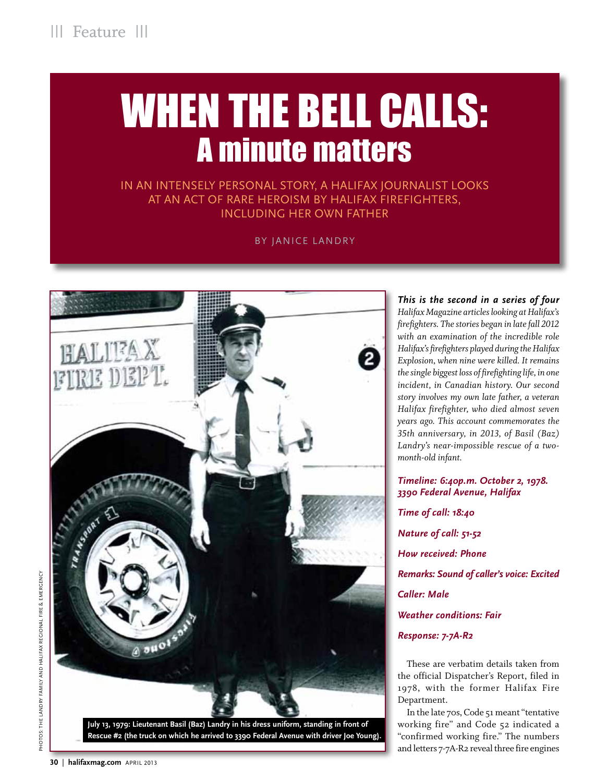# WHEN THE BELL CALLS: A minute matters

In an intensely personal story, a Halifax journalist looks at an act of rare heroism by Halifax firefighters, including her own father

By Janice Landry



**July 13, 1979: Lieutenant Basil (Baz) Landry in his dress uniform, standing in front of Rescue #2 (the truck on which he arrived to 3390 Federal Avenue with driver Joe Young).**

*This is the second in a series of four Halifax Magazine articles looking at Halifax's firefighters. The stories began in late fall 2012 with an examination of the incredible role Halifax's firefighters played during the Halifax Explosion, when nine were killed. It remains the single biggest loss of firefighting life, in one incident, in Canadian history. Our second story involves my own late father, a veteran Halifax firefighter, who died almost seven years ago. This account commemorates the 35th anniversary, in 2013, of Basil (Baz) Landry's near-impossible rescue of a twomonth-old infant.* 

*3390 Federal Avenue, Halifax Time of call: 18:40 Nature of call: 51-52 How received: Phone Remarks: Sound of caller's voice: Excited Caller: Male Weather conditions: Fair Response: 7-7A-R2* 

*Timeline: 6:40p.m. October 2, 1978.*

These are verbatim details taken from the official Dispatcher's Report, filed in 1978, with the former Halifax Fire Department.

In the late 70s, Code 51 meant "tentative working fire" and Code 52 indicated a "confirmed working fire." The numbers and letters 7-7A-R2 reveal three fire engines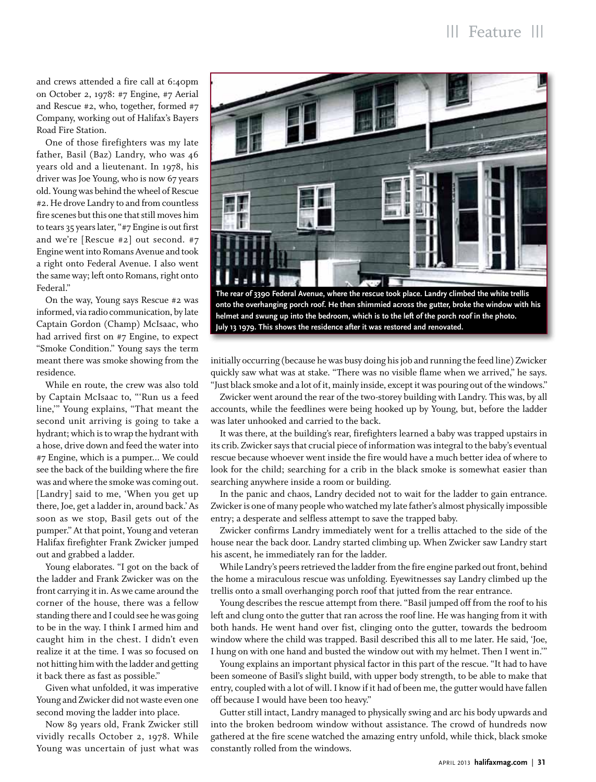and crews attended a fire call at 6:40pm on October 2, 1978: #7 Engine, #7 Aerial and Rescue #2, who, together, formed #7 Company, working out of Halifax's Bayers Road Fire Station.

One of those firefighters was my late father, Basil (Baz) Landry, who was 46 years old and a lieutenant. In 1978, his driver was Joe Young, who is now 67 years old. Young was behind the wheel of Rescue #2. He drove Landry to and from countless fire scenes but this one that still moves him to tears 35 years later, "#7 Engine is out first and we're [Rescue #2] out second. #7 Engine went into Romans Avenue and took a right onto Federal Avenue. I also went the same way; left onto Romans, right onto Federal."

On the way, Young says Rescue #2 was informed, via radio communication, by late Captain Gordon (Champ) McIsaac, who had arrived first on #7 Engine, to expect "Smoke Condition." Young says the term meant there was smoke showing from the residence.

While en route, the crew was also told by Captain McIsaac to, "'Run us a feed line,'" Young explains, "That meant the second unit arriving is going to take a hydrant; which is to wrap the hydrant with a hose, drive down and feed the water into #7 Engine, which is a pumper... We could see the back of the building where the fire was and where the smoke was coming out. [Landry] said to me, 'When you get up there, Joe, get a ladder in, around back.' As soon as we stop, Basil gets out of the pumper." At that point, Young and veteran Halifax firefighter Frank Zwicker jumped out and grabbed a ladder.

Young elaborates. "I got on the back of the ladder and Frank Zwicker was on the front carrying it in. As we came around the corner of the house, there was a fellow standing there and I could see he was going to be in the way. I think I armed him and caught him in the chest. I didn't even realize it at the time. I was so focused on not hitting him with the ladder and getting it back there as fast as possible."

Given what unfolded, it was imperative Young and Zwicker did not waste even one second moving the ladder into place.

Now 89 years old, Frank Zwicker still vividly recalls October 2, 1978. While Young was uncertain of just what was



**The rear of 3390 Federal Avenue, where the rescue took place. Landry climbed the white trellis onto the overhanging porch roof. He then shimmied across the gutter, broke the window with his helmet and swung up into the bedroom, which is to the left of the porch roof in the photo. July 13 1979. This shows the residence after it was restored and renovated.**

initially occurring (because he was busy doing his job and running the feed line) Zwicker quickly saw what was at stake. "There was no visible flame when we arrived," he says. "Just black smoke and a lot of it, mainly inside, except it was pouring out of the windows."

Zwicker went around the rear of the two-storey building with Landry. This was, by all accounts, while the feedlines were being hooked up by Young, but, before the ladder was later unhooked and carried to the back.

It was there, at the building's rear, firefighters learned a baby was trapped upstairs in its crib. Zwicker says that crucial piece of information was integral to the baby's eventual rescue because whoever went inside the fire would have a much better idea of where to look for the child; searching for a crib in the black smoke is somewhat easier than searching anywhere inside a room or building.

In the panic and chaos, Landry decided not to wait for the ladder to gain entrance. Zwicker is one of many people who watched my late father's almost physically impossible entry; a desperate and selfless attempt to save the trapped baby.

Zwicker confirms Landry immediately went for a trellis attached to the side of the house near the back door. Landry started climbing up. When Zwicker saw Landry start his ascent, he immediately ran for the ladder.

While Landry's peers retrieved the ladder from the fire engine parked out front, behind the home a miraculous rescue was unfolding. Eyewitnesses say Landry climbed up the trellis onto a small overhanging porch roof that jutted from the rear entrance.

Young describes the rescue attempt from there. "Basil jumped off from the roof to his left and clung onto the gutter that ran across the roof line. He was hanging from it with both hands. He went hand over fist, clinging onto the gutter, towards the bedroom window where the child was trapped. Basil described this all to me later. He said, 'Joe, I hung on with one hand and busted the window out with my helmet. Then I went in.'"

Young explains an important physical factor in this part of the rescue. "It had to have been someone of Basil's slight build, with upper body strength, to be able to make that entry, coupled with a lot of will. I know if it had of been me, the gutter would have fallen off because I would have been too heavy."

Gutter still intact, Landry managed to physically swing and arc his body upwards and into the broken bedroom window without assistance. The crowd of hundreds now gathered at the fire scene watched the amazing entry unfold, while thick, black smoke constantly rolled from the windows.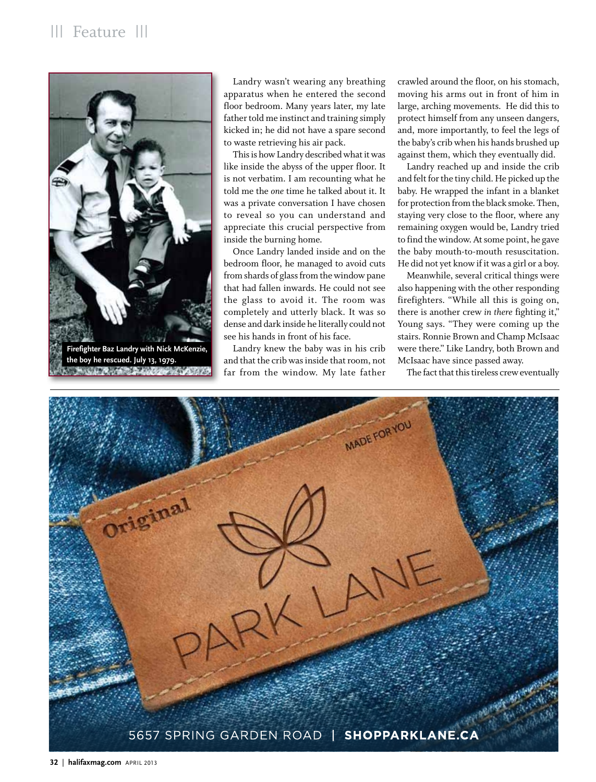

**Firefighter Baz Landry with Nick McKenzie, the boy he rescued. July 13, 1979.**THE R. P. LEWIS CO., LANSING MICH.

Landry wasn't wearing any breathing apparatus when he entered the second floor bedroom. Many years later, my late father told me instinct and training simply kicked in; he did not have a spare second to waste retrieving his air pack.

This is how Landry described what it was like inside the abyss of the upper floor. It is not verbatim. I am recounting what he told me the *one* time he talked about it. It was a private conversation I have chosen to reveal so you can understand and appreciate this crucial perspective from inside the burning home.

Once Landry landed inside and on the bedroom floor, he managed to avoid cuts from shards of glass from the window pane that had fallen inwards. He could not see the glass to avoid it. The room was completely and utterly black. It was so dense and dark inside he literally could not see his hands in front of his face.

Landry knew the baby was in his crib and that the crib was inside that room, not far from the window. My late father

crawled around the floor, on his stomach, moving his arms out in front of him in large, arching movements. He did this to protect himself from any unseen dangers, and, more importantly, to feel the legs of the baby's crib when his hands brushed up against them, which they eventually did.

Landry reached up and inside the crib and felt for the tiny child. He picked up the baby. He wrapped the infant in a blanket for protection from the black smoke. Then, staying very close to the floor, where any remaining oxygen would be, Landry tried to find the window. At some point, he gave the baby mouth-to-mouth resuscitation. He did not yet know if it was a girl or a boy.

Meanwhile, several critical things were also happening with the other responding firefighters. "While all this is going on, there is another crew *in there* fighting it," Young says. "They were coming up the stairs. Ronnie Brown and Champ McIsaac were there." Like Landry, both Brown and McIsaac have since passed away.

The fact that this tireless crew eventually

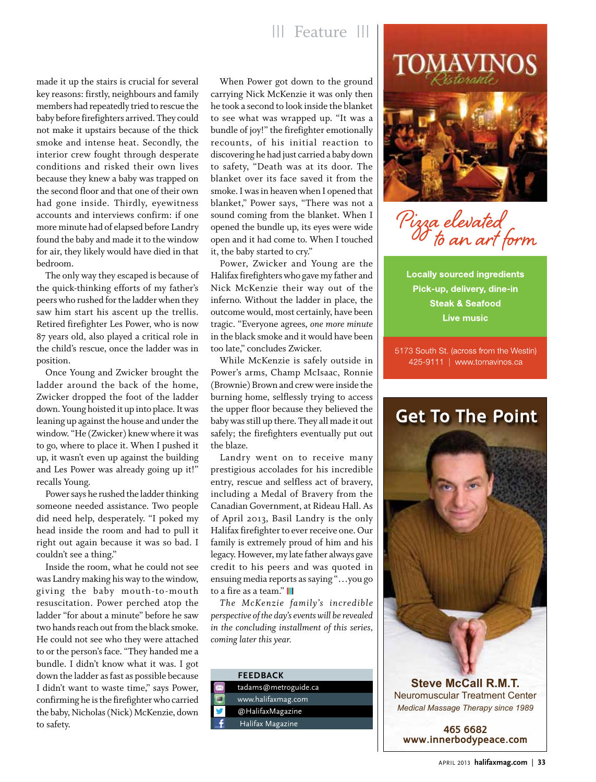# ||| Feature |||

made it up the stairs is crucial for several key reasons: firstly, neighbours and family members had repeatedly tried to rescue the baby before firefighters arrived. They could not make it upstairs because of the thick smoke and intense heat. Secondly, the interior crew fought through desperate conditions and risked their own lives because they knew a baby was trapped on the second floor and that one of their own had gone inside. Thirdly, eyewitness accounts and interviews confirm: if one more minute had of elapsed before Landry found the baby and made it to the window for air, they likely would have died in that bedroom.

The only way they escaped is because of the quick-thinking efforts of my father's peers who rushed for the ladder when they saw him start his ascent up the trellis. Retired firefighter Les Power, who is now 87 years old, also played a critical role in the child's rescue, once the ladder was in position.

Once Young and Zwicker brought the ladder around the back of the home, Zwicker dropped the foot of the ladder down. Young hoisted it up into place. It was leaning up against the house and under the window. "He (Zwicker) knew where it was to go, where to place it. When I pushed it up, it wasn't even up against the building and Les Power was already going up it!" recalls Young.

Power says he rushed the ladder thinking someone needed assistance. Two people did need help, desperately. "I poked my head inside the room and had to pull it right out again because it was so bad. I couldn't see a thing."

Inside the room, what he could not see was Landry making his way to the window, giving the baby mouth-to-mouth resuscitation. Power perched atop the ladder "for about a minute" before he saw two hands reach out from the black smoke. He could not see who they were attached to or the person's face. "They handed me a bundle. I didn't know what it was. I got down the ladder as fast as possible because I didn't want to waste time," says Power, confirming he is the firefighter who carried the baby, Nicholas (Nick) McKenzie, down to safety.

When Power got down to the ground carrying Nick McKenzie it was only then he took a second to look inside the blanket to see what was wrapped up. "It was a bundle of joy!" the firefighter emotionally recounts, of his initial reaction to discovering he had just carried a baby down to safety, "Death was at its door. The blanket over its face saved it from the smoke. I was in heaven when I opened that blanket," Power says, "There was not a sound coming from the blanket. When I opened the bundle up, its eyes were wide open and it had come to. When I touched it, the baby started to cry."

Power, Zwicker and Young are the Halifax firefighters who gave my father and Nick McKenzie their way out of the inferno. Without the ladder in place, the outcome would, most certainly, have been tragic. "Everyone agrees, *one more minute* in the black smoke and it would have been too late," concludes Zwicker.

While McKenzie is safely outside in Power's arms, Champ McIsaac, Ronnie (Brownie) Brown and crew were inside the burning home, selflessly trying to access the upper floor because they believed the baby was still up there. They all made it out safely; the firefighters eventually put out the blaze.

Landry went on to receive many prestigious accolades for his incredible entry, rescue and selfless act of bravery, including a Medal of Bravery from the Canadian Government, at Rideau Hall. As of April 2013, Basil Landry is the only Halifax firefighter to ever receive one. Our family is extremely proud of him and his legacy. However, my late father always gave credit to his peers and was quoted in ensuing media reports as saying "…you go to a fire as a team." **||||**

*The McKenzie family's incredible perspective of the day's events will be revealed in the concluding installment of this series, coming later this year.*

| <b>FEEDBACK</b>      |
|----------------------|
| tadams@metroguide.ca |
| www.halifaxmag.com   |
| @HalifaxMagazine     |
| Halifax Magazine     |
|                      |



Pizza elevated<br><sup>O</sup> to an art form

**Locally sourced ingredients** Pick-up, delivery, dine-in **Steak & Seafood Live music** 

5173 South St. (across from the Westin) 425-9111 | www.tomavinos.ca



**Steve McCall R.M.T.** Neuromuscular Treatment Center *Medical Massage Therapy since 1989*

**465 6682 www.innerbodypeace.com**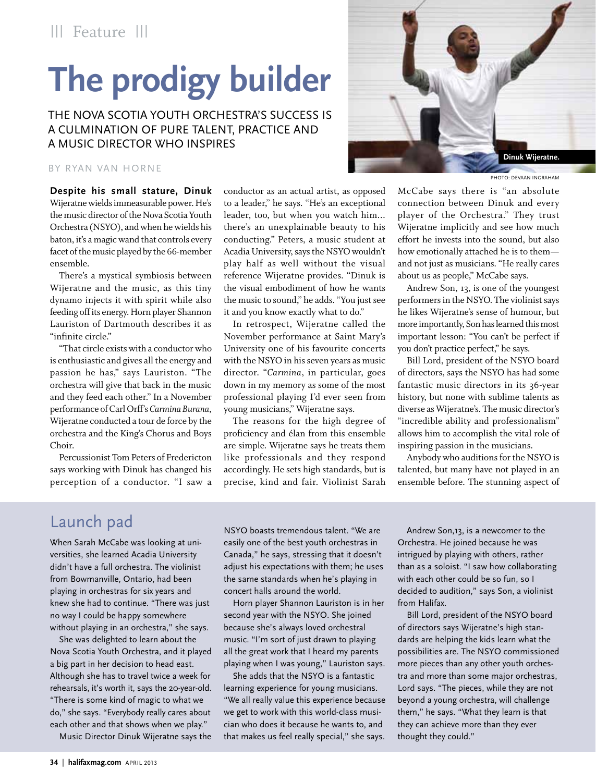# **The prodigy builder**

The Nova Scotia Youth Orchestra's success is a culmination of pure talent, practice and a music director who inspires

#### By Ryan Van Horne

**Despite his small stature, Dinuk**  Wijeratne wields immeasurable power. He's the music director of the Nova Scotia Youth Orchestra (NSYO), and when he wields his baton, it's a magic wand that controls every facet of the music played by the 66-member ensemble.

There's a mystical symbiosis between Wijeratne and the music, as this tiny dynamo injects it with spirit while also feeding off its energy. Horn player Shannon Lauriston of Dartmouth describes it as "infinite circle."

"That circle exists with a conductor who is enthusiastic and gives all the energy and passion he has," says Lauriston. "The orchestra will give that back in the music and they feed each other." In a November performance of Carl Orff's *Carmina Burana*, Wijeratne conducted a tour de force by the orchestra and the King's Chorus and Boys Choir.

Percussionist Tom Peters of Fredericton says working with Dinuk has changed his perception of a conductor. "I saw a conductor as an actual artist, as opposed to a leader," he says. "He's an exceptional leader, too, but when you watch him... there's an unexplainable beauty to his conducting." Peters, a music student at Acadia University, says the NSYO wouldn't play half as well without the visual reference Wijeratne provides. "Dinuk is the visual embodiment of how he wants the music to sound," he adds. "You just see it and you know exactly what to do."

In retrospect, Wijeratne called the November performance at Saint Mary's University one of his favourite concerts with the NSYO in his seven years as music director. "*Carmina*, in particular, goes down in my memory as some of the most professional playing I'd ever seen from young musicians," Wijeratne says.

The reasons for the high degree of proficiency and élan from this ensemble are simple. Wijeratne says he treats them like professionals and they respond accordingly. He sets high standards, but is precise, kind and fair. Violinist Sarah



Photo: Devaan Ingraham

McCabe says there is "an absolute connection between Dinuk and every player of the Orchestra." They trust Wijeratne implicitly and see how much effort he invests into the sound, but also how emotionally attached he is to them and not just as musicians. "He really cares about us as people," McCabe says.

Andrew Son, 13, is one of the youngest performers in the NSYO. The violinist says he likes Wijeratne's sense of humour, but more importantly, Son has learned this most important lesson: "You can't be perfect if you don't practice perfect," he says.

Bill Lord, president of the NSYO board of directors, says the NSYO has had some fantastic music directors in its 36-year history, but none with sublime talents as diverse as Wijeratne's. The music director's "incredible ability and professionalism" allows him to accomplish the vital role of inspiring passion in the musicians.

Anybody who auditions for the NSYO is talented, but many have not played in an ensemble before. The stunning aspect of

# Launch pad

When Sarah McCabe was looking at universities, she learned Acadia University didn't have a full orchestra. The violinist from Bowmanville, Ontario, had been playing in orchestras for six years and knew she had to continue. "There was just no way I could be happy somewhere without playing in an orchestra," she says.

She was delighted to learn about the Nova Scotia Youth Orchestra, and it played a big part in her decision to head east. Although she has to travel twice a week for rehearsals, it's worth it, says the 20-year-old. "There is some kind of magic to what we do," she says. "Everybody really cares about each other and that shows when we play."

Music Director Dinuk Wijeratne says the

NSYO boasts tremendous talent. "We are easily one of the best youth orchestras in Canada," he says, stressing that it doesn't adjust his expectations with them; he uses the same standards when he's playing in concert halls around the world.

Horn player Shannon Lauriston is in her second year with the NSYO. She joined because she's always loved orchestral music. "I'm sort of just drawn to playing all the great work that I heard my parents playing when I was young," Lauriston says.

She adds that the NSYO is a fantastic learning experience for young musicians. "We all really value this experience because we get to work with this world-class musician who does it because he wants to, and that makes us feel really special," she says.

Andrew Son,13, is a newcomer to the Orchestra. He joined because he was intrigued by playing with others, rather than as a soloist. "I saw how collaborating with each other could be so fun, so I decided to audition," says Son, a violinist from Halifax.

Bill Lord, president of the NSYO board of directors says Wijeratne's high standards are helping the kids learn what the possibilities are. The NSYO commissioned more pieces than any other youth orchestra and more than some major orchestras, Lord says. "The pieces, while they are not beyond a young orchestra, will challenge them," he says. "What they learn is that they can achieve more than they ever thought they could."